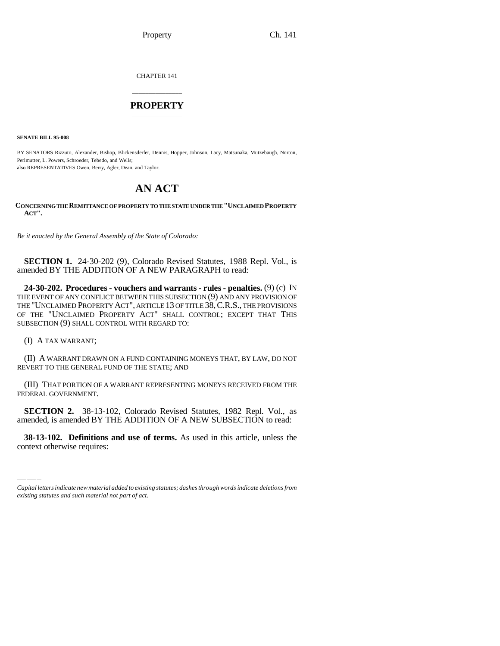Property Ch. 141

CHAPTER 141

## \_\_\_\_\_\_\_\_\_\_\_\_\_\_\_ **PROPERTY** \_\_\_\_\_\_\_\_\_\_\_\_\_\_\_

**SENATE BILL 95-008**

BY SENATORS Rizzuto, Alexander, Bishop, Blickensderfer, Dennis, Hopper, Johnson, Lacy, Matsunaka, Mutzebaugh, Norton, Perlmutter, L. Powers, Schroeder, Tebedo, and Wells; also REPRESENTATIVES Owen, Berry, Agler, Dean, and Taylor.

# **AN ACT**

**CONCERNING THE REMITTANCE OF PROPERTY TO THE STATE UNDER THE "UNCLAIMED PROPERTY ACT".**

*Be it enacted by the General Assembly of the State of Colorado:*

**SECTION 1.** 24-30-202 (9), Colorado Revised Statutes, 1988 Repl. Vol., is amended BY THE ADDITION OF A NEW PARAGRAPH to read:

**24-30-202. Procedures - vouchers and warrants - rules - penalties.** (9) (c) IN THE EVENT OF ANY CONFLICT BETWEEN THIS SUBSECTION (9) AND ANY PROVISION OF THE "UNCLAIMED PROPERTY ACT", ARTICLE 13 OF TITLE 38, C.R.S., THE PROVISIONS OF THE "UNCLAIMED PROPERTY ACT" SHALL CONTROL; EXCEPT THAT THIS SUBSECTION (9) SHALL CONTROL WITH REGARD TO:

(I) A TAX WARRANT;

(II) A WARRANT DRAWN ON A FUND CONTAINING MONEYS THAT, BY LAW, DO NOT REVERT TO THE GENERAL FUND OF THE STATE; AND

(III) THAT PORTION OF A WARRANT REPRESENTING MONEYS RECEIVED FROM THE FEDERAL GOVERNMENT.

amended, is amended BY THE ADDITION OF A NEW SUBSECTION to read: **SECTION 2.** 38-13-102, Colorado Revised Statutes, 1982 Repl. Vol., as

**38-13-102. Definitions and use of terms.** As used in this article, unless the context otherwise requires:

*Capital letters indicate new material added to existing statutes; dashes through words indicate deletions from existing statutes and such material not part of act.*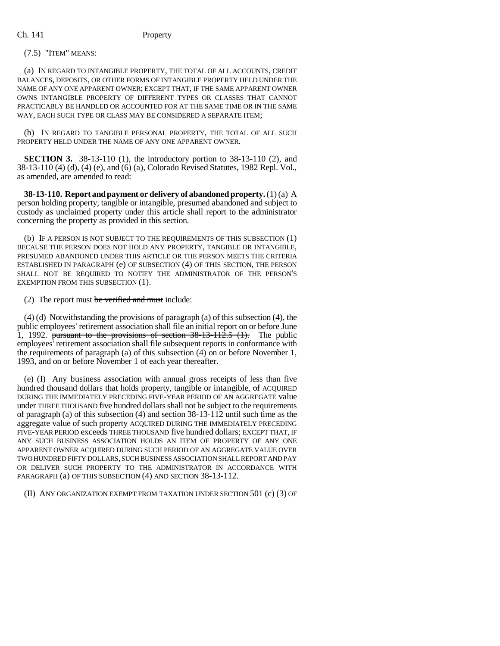### (7.5) "ITEM" MEANS:

(a) IN REGARD TO INTANGIBLE PROPERTY, THE TOTAL OF ALL ACCOUNTS, CREDIT BALANCES, DEPOSITS, OR OTHER FORMS OF INTANGIBLE PROPERTY HELD UNDER THE NAME OF ANY ONE APPARENT OWNER; EXCEPT THAT, IF THE SAME APPARENT OWNER OWNS INTANGIBLE PROPERTY OF DIFFERENT TYPES OR CLASSES THAT CANNOT PRACTICABLY BE HANDLED OR ACCOUNTED FOR AT THE SAME TIME OR IN THE SAME WAY, EACH SUCH TYPE OR CLASS MAY BE CONSIDERED A SEPARATE ITEM;

(b) IN REGARD TO TANGIBLE PERSONAL PROPERTY, THE TOTAL OF ALL SUCH PROPERTY HELD UNDER THE NAME OF ANY ONE APPARENT OWNER.

**SECTION 3.** 38-13-110 (1), the introductory portion to 38-13-110 (2), and 38-13-110 (4) (d), (4) (e), and (6) (a), Colorado Revised Statutes, 1982 Repl. Vol., as amended, are amended to read:

**38-13-110. Report and payment or delivery of abandoned property.** (1) (a) A person holding property, tangible or intangible, presumed abandoned and subject to custody as unclaimed property under this article shall report to the administrator concerning the property as provided in this section.

(b) IF A PERSON IS NOT SUBJECT TO THE REQUIREMENTS OF THIS SUBSECTION (1) BECAUSE THE PERSON DOES NOT HOLD ANY PROPERTY, TANGIBLE OR INTANGIBLE, PRESUMED ABANDONED UNDER THIS ARTICLE OR THE PERSON MEETS THE CRITERIA ESTABLISHED IN PARAGRAPH (e) OF SUBSECTION (4) OF THIS SECTION, THE PERSON SHALL NOT BE REQUIRED TO NOTIFY THE ADMINISTRATOR OF THE PERSON'S EXEMPTION FROM THIS SUBSECTION (1).

(2) The report must be verified and must include:

(4) (d) Notwithstanding the provisions of paragraph (a) of this subsection (4), the public employees' retirement association shall file an initial report on or before June 1, 1992. pursuant to the provisions of section  $38-13-112.5$  (1). The public employees' retirement association shall file subsequent reports in conformance with the requirements of paragraph (a) of this subsection (4) on or before November 1, 1993, and on or before November 1 of each year thereafter.

(e) (I) Any business association with annual gross receipts of less than five hundred thousand dollars that holds property, tangible or intangible, of ACQUIRED DURING THE IMMEDIATELY PRECEDING FIVE-YEAR PERIOD OF AN AGGREGATE value under THREE THOUSAND five hundred dollars shall not be subject to the requirements of paragraph (a) of this subsection (4) and section 38-13-112 until such time as the aggregate value of such property ACQUIRED DURING THE IMMEDIATELY PRECEDING FIVE-YEAR PERIOD exceeds THREE THOUSAND five hundred dollars; EXCEPT THAT, IF ANY SUCH BUSINESS ASSOCIATION HOLDS AN ITEM OF PROPERTY OF ANY ONE APPARENT OWNER ACQUIRED DURING SUCH PERIOD OF AN AGGREGATE VALUE OVER TWO HUNDRED FIFTY DOLLARS, SUCH BUSINESS ASSOCIATION SHALL REPORT AND PAY OR DELIVER SUCH PROPERTY TO THE ADMINISTRATOR IN ACCORDANCE WITH PARAGRAPH (a) OF THIS SUBSECTION (4) AND SECTION 38-13-112.

(II) ANY ORGANIZATION EXEMPT FROM TAXATION UNDER SECTION 501 (c) (3) OF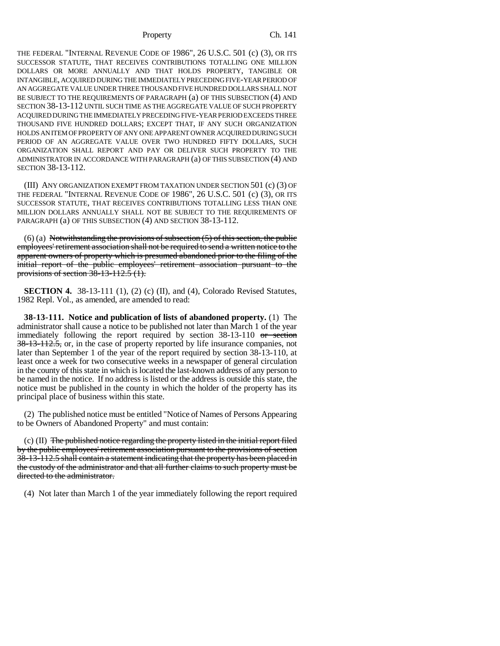### Property Ch. 141

THE FEDERAL "INTERNAL REVENUE CODE OF 1986", 26 U.S.C. 501 (c) (3), OR ITS SUCCESSOR STATUTE, THAT RECEIVES CONTRIBUTIONS TOTALLING ONE MILLION DOLLARS OR MORE ANNUALLY AND THAT HOLDS PROPERTY, TANGIBLE OR INTANGIBLE, ACQUIRED DURING THE IMMEDIATELY PRECEDING FIVE-YEAR PERIOD OF AN AGGREGATE VALUE UNDER THREE THOUSAND FIVE HUNDRED DOLLARS SHALL NOT BE SUBJECT TO THE REQUIREMENTS OF PARAGRAPH (a) OF THIS SUBSECTION (4) AND SECTION 38-13-112 UNTIL SUCH TIME AS THE AGGREGATE VALUE OF SUCH PROPERTY ACQUIRED DURING THE IMMEDIATELY PRECEDING FIVE-YEAR PERIOD EXCEEDS THREE THOUSAND FIVE HUNDRED DOLLARS; EXCEPT THAT, IF ANY SUCH ORGANIZATION HOLDS AN ITEM OF PROPERTY OF ANY ONE APPARENT OWNER ACQUIRED DURING SUCH PERIOD OF AN AGGREGATE VALUE OVER TWO HUNDRED FIFTY DOLLARS, SUCH ORGANIZATION SHALL REPORT AND PAY OR DELIVER SUCH PROPERTY TO THE ADMINISTRATOR IN ACCORDANCE WITH PARAGRAPH (a) OF THIS SUBSECTION (4) AND SECTION 38-13-112.

(III) ANY ORGANIZATION EXEMPT FROM TAXATION UNDER SECTION 501 (c) (3) OF THE FEDERAL "INTERNAL REVENUE CODE OF 1986", 26 U.S.C. 501 (c) (3), OR ITS SUCCESSOR STATUTE, THAT RECEIVES CONTRIBUTIONS TOTALLING LESS THAN ONE MILLION DOLLARS ANNUALLY SHALL NOT BE SUBJECT TO THE REQUIREMENTS OF PARAGRAPH (a) OF THIS SUBSECTION (4) AND SECTION 38-13-112.

 $(6)$  (a) Notwithstanding the provisions of subsection  $(5)$  of this section, the public employees' retirement association shall not be required to send a written notice to the apparent owners of property which is presumed abandoned prior to the filing of the initial report of the public employees' retirement association pursuant to the provisions of section 38-13-112.5 (1).

**SECTION 4.** 38-13-111 (1), (2) (c) (II), and (4), Colorado Revised Statutes, 1982 Repl. Vol., as amended, are amended to read:

**38-13-111. Notice and publication of lists of abandoned property.** (1) The administrator shall cause a notice to be published not later than March 1 of the year immediately following the report required by section 38-13-110 or section 38-13-112.5, or, in the case of property reported by life insurance companies, not later than September 1 of the year of the report required by section 38-13-110, at least once a week for two consecutive weeks in a newspaper of general circulation in the county of this state in which is located the last-known address of any person to be named in the notice. If no address is listed or the address is outside this state, the notice must be published in the county in which the holder of the property has its principal place of business within this state.

(2) The published notice must be entitled "Notice of Names of Persons Appearing to be Owners of Abandoned Property" and must contain:

 $(c)$  (I) The published notice regarding the property listed in the initial report filed by the public employees' retirement association pursuant to the provisions of section 38-13-112.5 shall contain a statement indicating that the property has been placed in the custody of the administrator and that all further claims to such property must be directed to the administrator.

(4) Not later than March 1 of the year immediately following the report required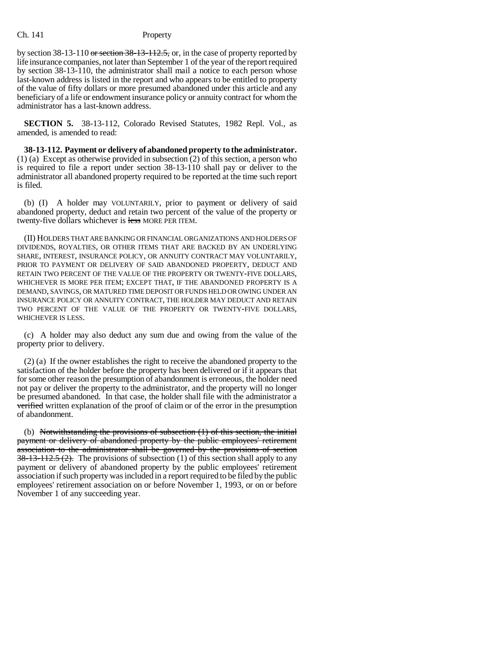by section  $38-13-110$  or section  $38-13-112.5$ , or, in the case of property reported by life insurance companies, not later than September 1 of the year of the report required by section 38-13-110, the administrator shall mail a notice to each person whose last-known address is listed in the report and who appears to be entitled to property of the value of fifty dollars or more presumed abandoned under this article and any beneficiary of a life or endowment insurance policy or annuity contract for whom the administrator has a last-known address.

**SECTION 5.** 38-13-112, Colorado Revised Statutes, 1982 Repl. Vol., as amended, is amended to read:

**38-13-112. Payment or delivery of abandoned property to the administrator.** (1) (a) Except as otherwise provided in subsection (2) of this section, a person who is required to file a report under section 38-13-110 shall pay or deliver to the administrator all abandoned property required to be reported at the time such report is filed.

(b) (I) A holder may VOLUNTARILY, prior to payment or delivery of said abandoned property, deduct and retain two percent of the value of the property or twenty-five dollars whichever is less MORE PER ITEM.

(II) HOLDERS THAT ARE BANKING OR FINANCIAL ORGANIZATIONS AND HOLDERS OF DIVIDENDS, ROYALTIES, OR OTHER ITEMS THAT ARE BACKED BY AN UNDERLYING SHARE, INTEREST, INSURANCE POLICY, OR ANNUITY CONTRACT MAY VOLUNTARILY, PRIOR TO PAYMENT OR DELIVERY OF SAID ABANDONED PROPERTY, DEDUCT AND RETAIN TWO PERCENT OF THE VALUE OF THE PROPERTY OR TWENTY-FIVE DOLLARS, WHICHEVER IS MORE PER ITEM; EXCEPT THAT, IF THE ABANDONED PROPERTY IS A DEMAND, SAVINGS, OR MATURED TIME DEPOSIT OR FUNDS HELD OR OWING UNDER AN INSURANCE POLICY OR ANNUITY CONTRACT, THE HOLDER MAY DEDUCT AND RETAIN TWO PERCENT OF THE VALUE OF THE PROPERTY OR TWENTY-FIVE DOLLARS, WHICHEVER IS LESS.

(c) A holder may also deduct any sum due and owing from the value of the property prior to delivery.

(2) (a) If the owner establishes the right to receive the abandoned property to the satisfaction of the holder before the property has been delivered or if it appears that for some other reason the presumption of abandonment is erroneous, the holder need not pay or deliver the property to the administrator, and the property will no longer be presumed abandoned. In that case, the holder shall file with the administrator a verified written explanation of the proof of claim or of the error in the presumption of abandonment.

(b) Notwithstanding the provisions of subsection  $(1)$  of this section, the initial payment or delivery of abandoned property by the public employees' retirement association to the administrator shall be governed by the provisions of section  $38-13-112.5(2)$ . The provisions of subsection (1) of this section shall apply to any payment or delivery of abandoned property by the public employees' retirement association if such property was included in a report required to be filed by the public employees' retirement association on or before November 1, 1993, or on or before November 1 of any succeeding year.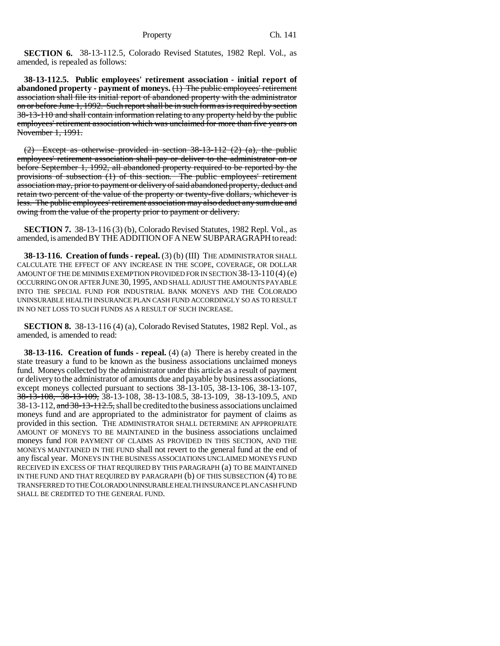**SECTION 6.** 38-13-112.5, Colorado Revised Statutes, 1982 Repl. Vol., as amended, is repealed as follows:

**38-13-112.5. Public employees' retirement association - initial report of abandoned property - payment of moneys.** (1) The public employees' retirement association shall file its initial report of abandoned property with the administrator on or before June 1, 1992. Such report shall be in such form as is required by section 38-13-110 and shall contain information relating to any property held by the public employees' retirement association which was unclaimed for more than five years on November 1, 1991.

 $(2)$  Except as otherwise provided in section 38-13-112  $(2)$   $(a)$ , the public employees' retirement association shall pay or deliver to the administrator on or before September 1, 1992, all abandoned property required to be reported by the provisions of subsection (1) of this section. The public employees' retirement association may, prior to payment or delivery of said abandoned property, deduct and retain two percent of the value of the property or twenty-five dollars, whichever is less. The public employees' retirement association may also deduct any sum due and owing from the value of the property prior to payment or delivery.

**SECTION 7.** 38-13-116 (3) (b), Colorado Revised Statutes, 1982 Repl. Vol., as amended, is amended BY THE ADDITION OF A NEW SUBPARAGRAPH to read:

**38-13-116. Creation of funds - repeal.** (3) (b) (III) THE ADMINISTRATOR SHALL CALCULATE THE EFFECT OF ANY INCREASE IN THE SCOPE, COVERAGE, OR DOLLAR AMOUNT OF THE DE MINIMIS EXEMPTION PROVIDED FOR IN SECTION 38-13-110 (4) (e) OCCURRING ON OR AFTER JUNE 30, 1995, AND SHALL ADJUST THE AMOUNTS PAYABLE INTO THE SPECIAL FUND FOR INDUSTRIAL BANK MONEYS AND THE COLORADO UNINSURABLE HEALTH INSURANCE PLAN CASH FUND ACCORDINGLY SO AS TO RESULT IN NO NET LOSS TO SUCH FUNDS AS A RESULT OF SUCH INCREASE.

**SECTION 8.** 38-13-116 (4) (a), Colorado Revised Statutes, 1982 Repl. Vol., as amended, is amended to read:

**38-13-116. Creation of funds - repeal.** (4) (a) There is hereby created in the state treasury a fund to be known as the business associations unclaimed moneys fund. Moneys collected by the administrator under this article as a result of payment or delivery to the administrator of amounts due and payable by business associations, except moneys collected pursuant to sections 38-13-105, 38-13-106, 38-13-107, 38-13-108, 38-13-109, 38-13-108, 38-13-108.5, 38-13-109, 38-13-109.5, AND 38-13-112, and 38-13-112.5, shall be credited to the business associations unclaimed moneys fund and are appropriated to the administrator for payment of claims as provided in this section. THE ADMINISTRATOR SHALL DETERMINE AN APPROPRIATE AMOUNT OF MONEYS TO BE MAINTAINED in the business associations unclaimed moneys fund FOR PAYMENT OF CLAIMS AS PROVIDED IN THIS SECTION, AND THE MONEYS MAINTAINED IN THE FUND shall not revert to the general fund at the end of any fiscal year. MONEYS IN THE BUSINESS ASSOCIATIONS UNCLAIMED MONEYS FUND RECEIVED IN EXCESS OF THAT REQUIRED BY THIS PARAGRAPH (a) TO BE MAINTAINED IN THE FUND AND THAT REQUIRED BY PARAGRAPH (b) OF THIS SUBSECTION (4) TO BE TRANSFERRED TO THE COLORADO UNINSURABLE HEALTH INSURANCE PLAN CASH FUND SHALL BE CREDITED TO THE GENERAL FUND.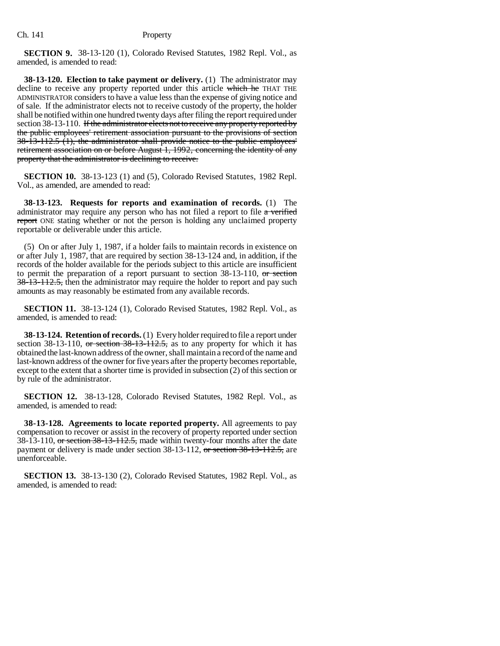**SECTION 9.** 38-13-120 (1), Colorado Revised Statutes, 1982 Repl. Vol., as amended, is amended to read:

**38-13-120. Election to take payment or delivery.** (1) The administrator may decline to receive any property reported under this article which he THAT THE ADMINISTRATOR considers to have a value less than the expense of giving notice and of sale. If the administrator elects not to receive custody of the property, the holder shall be notified within one hundred twenty days after filing the report required under section 38-13-110. If the administrator elects not to receive any property reported by the public employees' retirement association pursuant to the provisions of section 38-13-112.5 (1), the administrator shall provide notice to the public employees' retirement association on or before August 1, 1992, concerning the identity of any property that the administrator is declining to receive.

**SECTION 10.** 38-13-123 (1) and (5), Colorado Revised Statutes, 1982 Repl. Vol., as amended, are amended to read:

**38-13-123. Requests for reports and examination of records.** (1) The administrator may require any person who has not filed a report to file a verified report ONE stating whether or not the person is holding any unclaimed property reportable or deliverable under this article.

(5) On or after July 1, 1987, if a holder fails to maintain records in existence on or after July 1, 1987, that are required by section 38-13-124 and, in addition, if the records of the holder available for the periods subject to this article are insufficient to permit the preparation of a report pursuant to section 38-13-110, or section 38-13-112.5, then the administrator may require the holder to report and pay such amounts as may reasonably be estimated from any available records.

**SECTION 11.** 38-13-124 (1), Colorado Revised Statutes, 1982 Repl. Vol., as amended, is amended to read:

**38-13-124. Retention of records.** (1) Every holder required to file a report under section 38-13-110, or section  $38-13-112.5$ , as to any property for which it has obtained the last-known address of the owner, shall maintain a record of the name and last-known address of the owner for five years after the property becomes reportable, except to the extent that a shorter time is provided in subsection (2) of this section or by rule of the administrator.

**SECTION 12.** 38-13-128, Colorado Revised Statutes, 1982 Repl. Vol., as amended, is amended to read:

**38-13-128. Agreements to locate reported property.** All agreements to pay compensation to recover or assist in the recovery of property reported under section 38-13-110, or section 38-13-112.5, made within twenty-four months after the date payment or delivery is made under section 38-13-112, or section 38-13-112.5, are unenforceable.

**SECTION 13.** 38-13-130 (2), Colorado Revised Statutes, 1982 Repl. Vol., as amended, is amended to read: